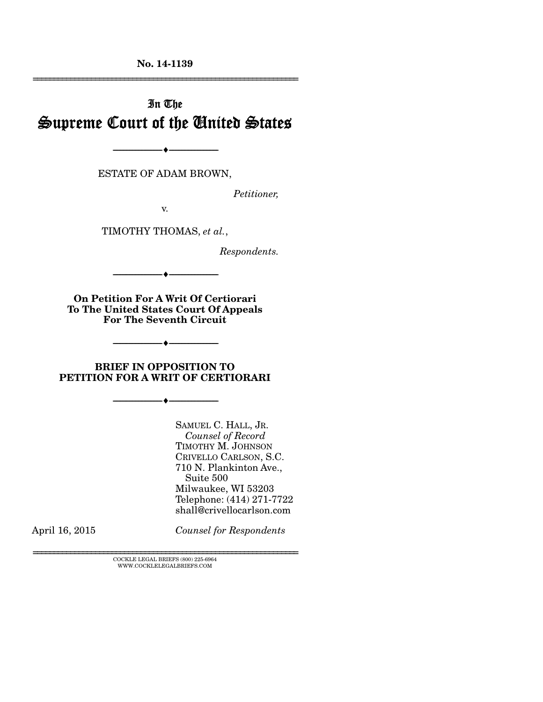**No. 14-1139**  ================================================================

# In The Supreme Court of the United States

ESTATE OF ADAM BROWN,

--------------------------------- ---------------------------------

*Petitioner,* 

v.

TIMOTHY THOMAS, *et al.*,

*Respondents.* 

**On Petition For A Writ Of Certiorari To The United States Court Of Appeals For The Seventh Circuit** 

--------------------------------- ---------------------------------

**BRIEF IN OPPOSITION TO PETITION FOR A WRIT OF CERTIORARI** 

--------------------------------- ---------------------------------

--------------------------------- ---------------------------------

SAMUEL C. HALL, JR. *Counsel of Record*  TIMOTHY M. JOHNSON CRIVELLO CARLSON, S.C. 710 N. Plankinton Ave., Suite 500 Milwaukee, WI 53203 Telephone: (414) 271-7722 shall@crivellocarlson.com

April 16, 2015 *Counsel for Respondents*

 ${\rm COCKLE}$ LEGAL BRIEFS (800) 225-6964 WWW.COCKLELEGALBRIEFS.COM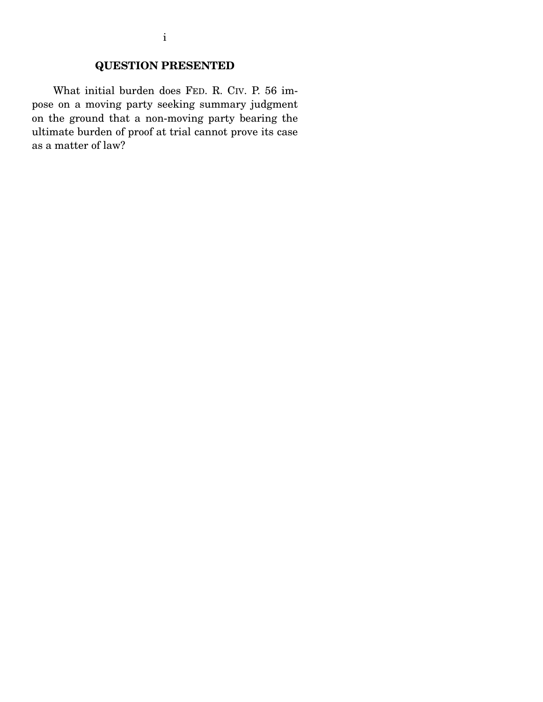## **QUESTION PRESENTED**

 What initial burden does FED. R. CIV. P. 56 impose on a moving party seeking summary judgment on the ground that a non-moving party bearing the ultimate burden of proof at trial cannot prove its case as a matter of law?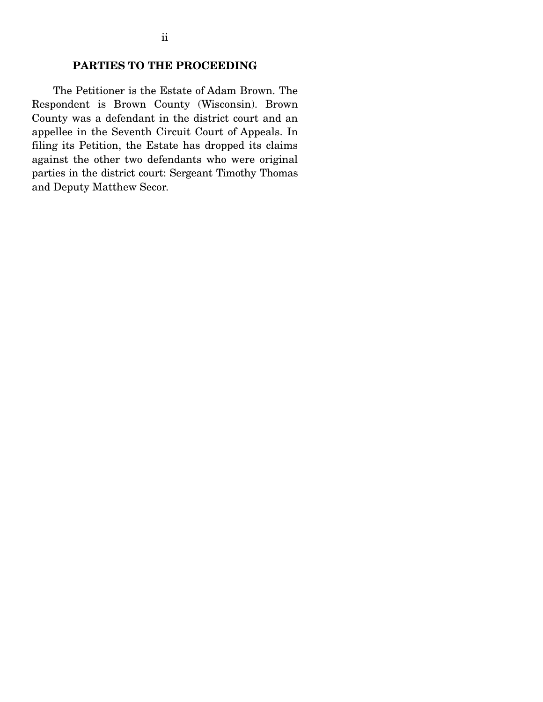## **PARTIES TO THE PROCEEDING**

 The Petitioner is the Estate of Adam Brown. The Respondent is Brown County (Wisconsin). Brown County was a defendant in the district court and an appellee in the Seventh Circuit Court of Appeals. In filing its Petition, the Estate has dropped its claims against the other two defendants who were original parties in the district court: Sergeant Timothy Thomas and Deputy Matthew Secor.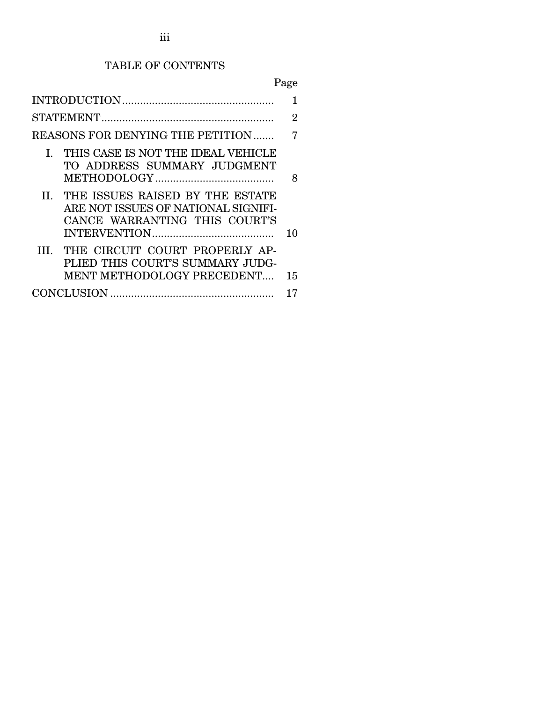## TABLE OF CONTENTS

| ா<br>я |
|--------|
|--------|

|                                                                                                             | 1              |
|-------------------------------------------------------------------------------------------------------------|----------------|
|                                                                                                             | $\overline{2}$ |
| REASONS FOR DENYING THE PETITION                                                                            | 7              |
| THIS CASE IS NOT THE IDEAL VEHICLE<br>L<br>TO ADDRESS SUMMARY JUDGMENT                                      | 8              |
| II. THE ISSUES RAISED BY THE ESTATE<br>ARE NOT ISSUES OF NATIONAL SIGNIFI-<br>CANCE WARRANTING THIS COURT'S | 10             |
| THE CIRCUIT COURT PROPERLY AP-<br>HL.<br>PLIED THIS COURT'S SUMMARY JUDG-<br>MENT METHODOLOGY PRECEDENT     | 15             |
| <b>CONCLUSION</b>                                                                                           |                |
|                                                                                                             |                |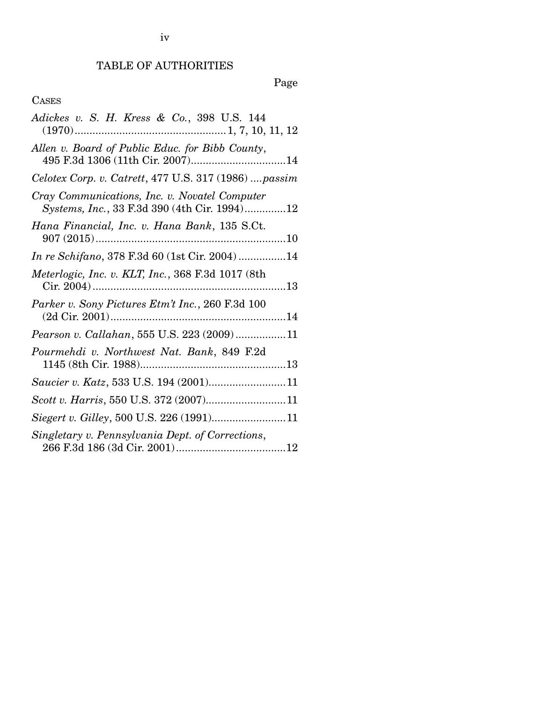# TABLE OF AUTHORITIES

Page

## CASES

| Adickes v. S. H. Kress & Co., 398 U.S. 144                                                    |
|-----------------------------------------------------------------------------------------------|
| Allen v. Board of Public Educ. for Bibb County,<br>495 F.3d 1306 (11th Cir. 2007)14           |
| Celotex Corp. v. Catrett, 477 U.S. 317 (1986)  passim                                         |
| Cray Communications, Inc. v. Novatel Computer<br>Systems, Inc., 33 F.3d 390 (4th Cir. 1994)12 |
| Hana Financial, Inc. v. Hana Bank, 135 S.Ct.                                                  |
| <i>In re Schifano</i> , 378 F.3d 60 (1st Cir. 2004)14                                         |
| Meterlogic, Inc. v. KLT, Inc., 368 F.3d 1017 (8th                                             |
| Parker v. Sony Pictures Etm't Inc., 260 F.3d 100                                              |
| Pearson v. Callahan, 555 U.S. 223 (2009)11                                                    |
| Pourmehdi v. Northwest Nat. Bank, 849 F.2d                                                    |
|                                                                                               |
|                                                                                               |
| Siegert v. Gilley, 500 U.S. 226 (1991)11                                                      |
| Singletary v. Pennsylvania Dept. of Corrections,                                              |

iv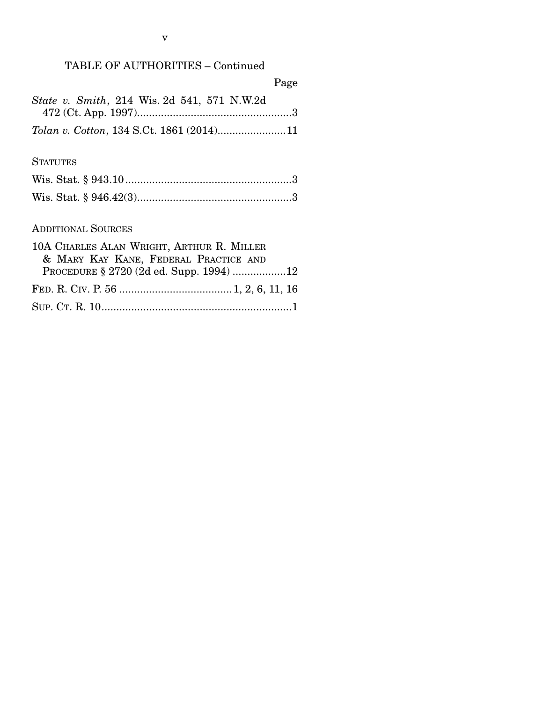## TABLE OF AUTHORITIES – Continued

Page

| <i>State v. Smith, 214 Wis. 2d 541, 571 N.W.2d</i> |  |  |  |  |
|----------------------------------------------------|--|--|--|--|
|                                                    |  |  |  |  |
|                                                    |  |  |  |  |

## **STATUTES**

## ADDITIONAL SOURCES

| 10A CHARLES ALAN WRIGHT, ARTHUR R. MILLER |                                         |  |  |  |
|-------------------------------------------|-----------------------------------------|--|--|--|
|                                           | & MARY KAY KANE, FEDERAL PRACTICE AND   |  |  |  |
|                                           | PROCEDURE § 2720 (2d ed. Supp. 1994) 12 |  |  |  |
|                                           |                                         |  |  |  |
|                                           |                                         |  |  |  |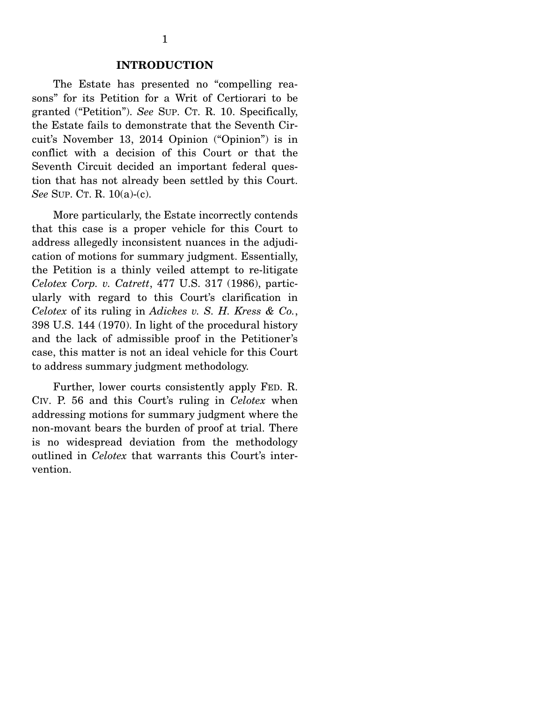The Estate has presented no "compelling reasons" for its Petition for a Writ of Certiorari to be granted ("Petition"). *See* SUP. CT. R. 10. Specifically, the Estate fails to demonstrate that the Seventh Circuit's November 13, 2014 Opinion ("Opinion") is in conflict with a decision of this Court or that the Seventh Circuit decided an important federal question that has not already been settled by this Court. *See* SUP. CT. R. 10(a)-(c).

 More particularly, the Estate incorrectly contends that this case is a proper vehicle for this Court to address allegedly inconsistent nuances in the adjudication of motions for summary judgment. Essentially, the Petition is a thinly veiled attempt to re-litigate *Celotex Corp. v. Catrett*, 477 U.S. 317 (1986), particularly with regard to this Court's clarification in *Celotex* of its ruling in *Adickes v. S. H. Kress & Co.*, 398 U.S. 144 (1970). In light of the procedural history and the lack of admissible proof in the Petitioner's case, this matter is not an ideal vehicle for this Court to address summary judgment methodology.

 Further, lower courts consistently apply FED. R. CIV. P. 56 and this Court's ruling in *Celotex* when addressing motions for summary judgment where the non-movant bears the burden of proof at trial. There is no widespread deviation from the methodology outlined in *Celotex* that warrants this Court's intervention.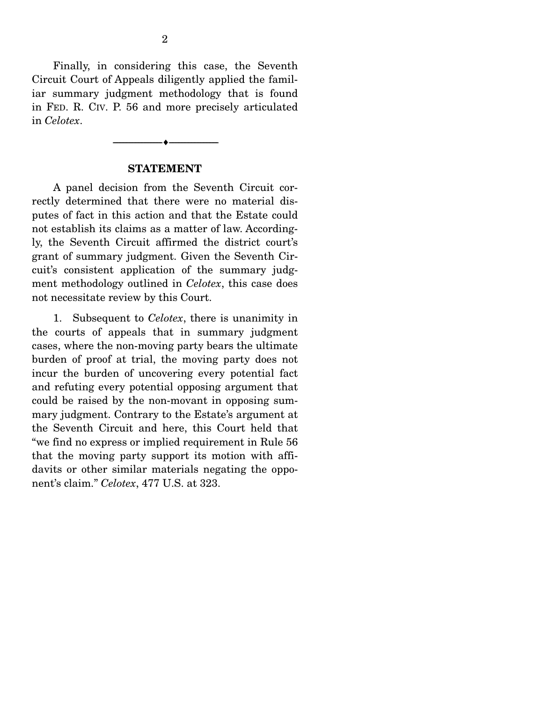Finally, in considering this case, the Seventh Circuit Court of Appeals diligently applied the familiar summary judgment methodology that is found in FED. R. CIV. P. 56 and more precisely articulated in *Celotex*.

#### **STATEMENT**

--------------------------------- ---------------------------------

 A panel decision from the Seventh Circuit correctly determined that there were no material disputes of fact in this action and that the Estate could not establish its claims as a matter of law. Accordingly, the Seventh Circuit affirmed the district court's grant of summary judgment. Given the Seventh Circuit's consistent application of the summary judgment methodology outlined in *Celotex*, this case does not necessitate review by this Court.

 1. Subsequent to *Celotex*, there is unanimity in the courts of appeals that in summary judgment cases, where the non-moving party bears the ultimate burden of proof at trial, the moving party does not incur the burden of uncovering every potential fact and refuting every potential opposing argument that could be raised by the non-movant in opposing summary judgment. Contrary to the Estate's argument at the Seventh Circuit and here, this Court held that "we find no express or implied requirement in Rule 56 that the moving party support its motion with affidavits or other similar materials negating the opponent's claim." *Celotex*, 477 U.S. at 323.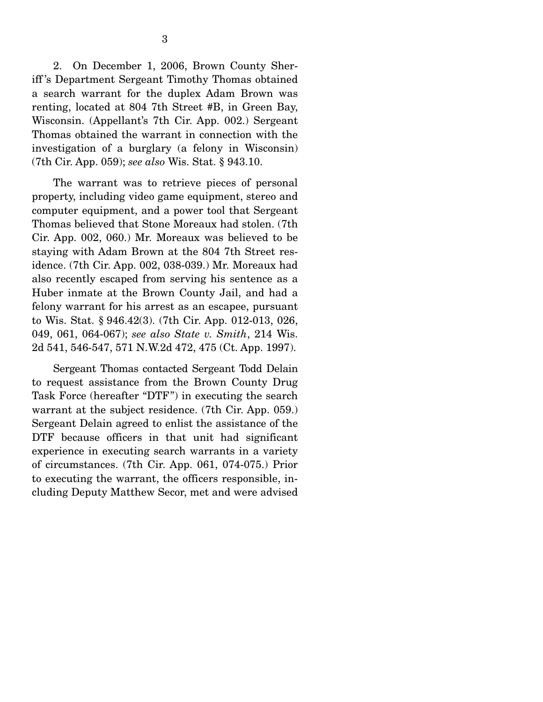2. On December 1, 2006, Brown County Sheriff 's Department Sergeant Timothy Thomas obtained a search warrant for the duplex Adam Brown was renting, located at 804 7th Street #B, in Green Bay, Wisconsin. (Appellant's 7th Cir. App. 002.) Sergeant Thomas obtained the warrant in connection with the investigation of a burglary (a felony in Wisconsin) (7th Cir. App. 059); *see also* Wis. Stat. § 943.10.

 The warrant was to retrieve pieces of personal property, including video game equipment, stereo and computer equipment, and a power tool that Sergeant Thomas believed that Stone Moreaux had stolen. (7th Cir. App. 002, 060.) Mr. Moreaux was believed to be staying with Adam Brown at the 804 7th Street residence. (7th Cir. App. 002, 038-039.) Mr. Moreaux had also recently escaped from serving his sentence as a Huber inmate at the Brown County Jail, and had a felony warrant for his arrest as an escapee, pursuant to Wis. Stat. § 946.42(3). (7th Cir. App. 012-013, 026, 049, 061, 064-067); *see also State v. Smith*, 214 Wis. 2d 541, 546-547, 571 N.W.2d 472, 475 (Ct. App. 1997).

 Sergeant Thomas contacted Sergeant Todd Delain to request assistance from the Brown County Drug Task Force (hereafter "DTF") in executing the search warrant at the subject residence. (7th Cir. App. 059.) Sergeant Delain agreed to enlist the assistance of the DTF because officers in that unit had significant experience in executing search warrants in a variety of circumstances. (7th Cir. App. 061, 074-075.) Prior to executing the warrant, the officers responsible, including Deputy Matthew Secor, met and were advised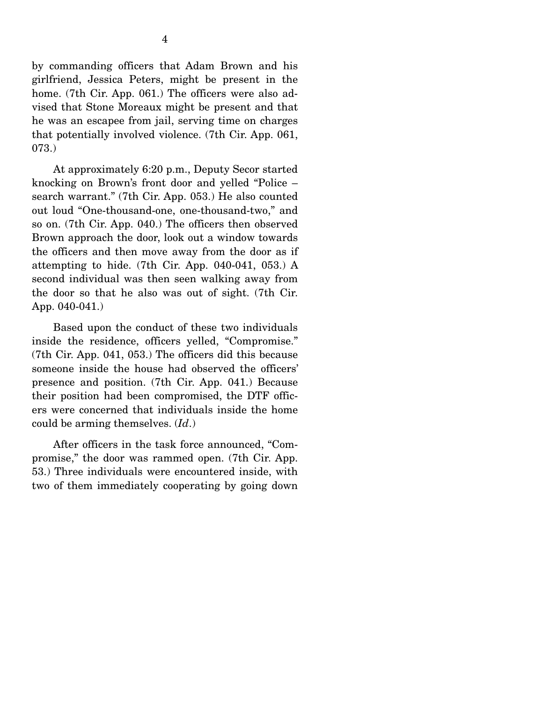by commanding officers that Adam Brown and his girlfriend, Jessica Peters, might be present in the home. (7th Cir. App. 061.) The officers were also advised that Stone Moreaux might be present and that he was an escapee from jail, serving time on charges that potentially involved violence. (7th Cir. App. 061, 073.)

 At approximately 6:20 p.m., Deputy Secor started knocking on Brown's front door and yelled "Police – search warrant." (7th Cir. App. 053.) He also counted out loud "One-thousand-one, one-thousand-two," and so on. (7th Cir. App. 040.) The officers then observed Brown approach the door, look out a window towards the officers and then move away from the door as if attempting to hide. (7th Cir. App. 040-041, 053.) A second individual was then seen walking away from the door so that he also was out of sight. (7th Cir. App. 040-041.)

 Based upon the conduct of these two individuals inside the residence, officers yelled, "Compromise." (7th Cir. App. 041, 053.) The officers did this because someone inside the house had observed the officers' presence and position. (7th Cir. App. 041.) Because their position had been compromised, the DTF officers were concerned that individuals inside the home could be arming themselves. (*Id*.)

 After officers in the task force announced, "Compromise," the door was rammed open. (7th Cir. App. 53.) Three individuals were encountered inside, with two of them immediately cooperating by going down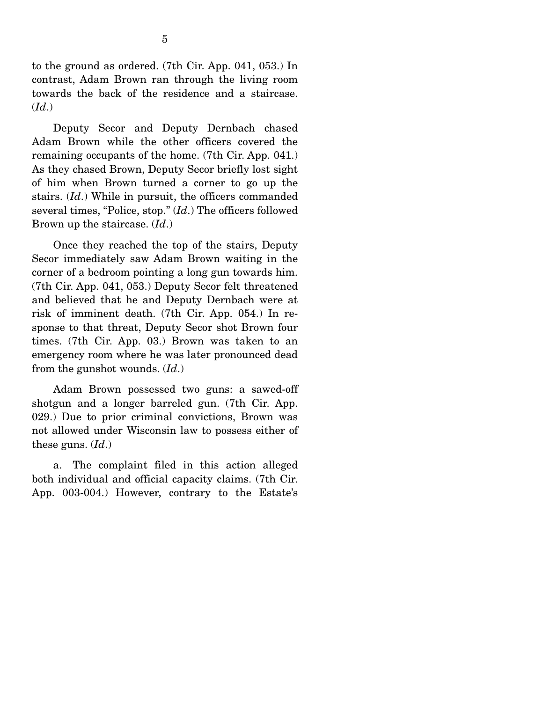to the ground as ordered. (7th Cir. App. 041, 053.) In contrast, Adam Brown ran through the living room towards the back of the residence and a staircase. (*Id*.)

 Deputy Secor and Deputy Dernbach chased Adam Brown while the other officers covered the remaining occupants of the home. (7th Cir. App. 041.) As they chased Brown, Deputy Secor briefly lost sight of him when Brown turned a corner to go up the stairs. (*Id*.) While in pursuit, the officers commanded several times, "Police, stop." (*Id*.) The officers followed Brown up the staircase. (*Id*.)

 Once they reached the top of the stairs, Deputy Secor immediately saw Adam Brown waiting in the corner of a bedroom pointing a long gun towards him. (7th Cir. App. 041, 053.) Deputy Secor felt threatened and believed that he and Deputy Dernbach were at risk of imminent death. (7th Cir. App. 054.) In response to that threat, Deputy Secor shot Brown four times. (7th Cir. App. 03.) Brown was taken to an emergency room where he was later pronounced dead from the gunshot wounds. (*Id*.)

 Adam Brown possessed two guns: a sawed-off shotgun and a longer barreled gun. (7th Cir. App. 029.) Due to prior criminal convictions, Brown was not allowed under Wisconsin law to possess either of these guns. (*Id*.)

 a. The complaint filed in this action alleged both individual and official capacity claims. (7th Cir. App. 003-004.) However, contrary to the Estate's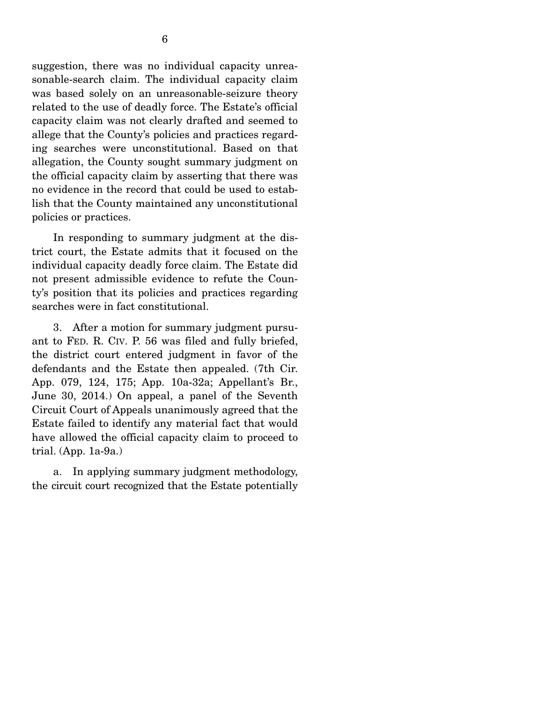suggestion, there was no individual capacity unreasonable-search claim. The individual capacity claim was based solely on an unreasonable-seizure theory related to the use of deadly force. The Estate's official capacity claim was not clearly drafted and seemed to allege that the County's policies and practices regarding searches were unconstitutional. Based on that allegation, the County sought summary judgment on the official capacity claim by asserting that there was no evidence in the record that could be used to establish that the County maintained any unconstitutional policies or practices.

 In responding to summary judgment at the district court, the Estate admits that it focused on the individual capacity deadly force claim. The Estate did not present admissible evidence to refute the County's position that its policies and practices regarding searches were in fact constitutional.

 3. After a motion for summary judgment pursuant to FED. R. CIV. P. 56 was filed and fully briefed, the district court entered judgment in favor of the defendants and the Estate then appealed. (7th Cir. App. 079, 124, 175; App. 10a-32a; Appellant's Br., June 30, 2014.) On appeal, a panel of the Seventh Circuit Court of Appeals unanimously agreed that the Estate failed to identify any material fact that would have allowed the official capacity claim to proceed to trial.  $(App. 1a-9a.)$ 

 a. In applying summary judgment methodology, the circuit court recognized that the Estate potentially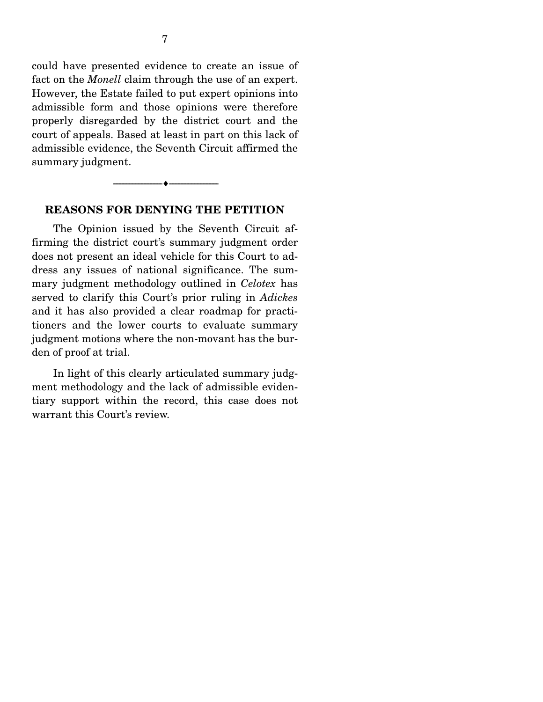could have presented evidence to create an issue of fact on the *Monell* claim through the use of an expert. However, the Estate failed to put expert opinions into admissible form and those opinions were therefore properly disregarded by the district court and the court of appeals. Based at least in part on this lack of admissible evidence, the Seventh Circuit affirmed the summary judgment.

#### --------------------------------- ---------------------------------

#### **REASONS FOR DENYING THE PETITION**

 The Opinion issued by the Seventh Circuit affirming the district court's summary judgment order does not present an ideal vehicle for this Court to address any issues of national significance. The summary judgment methodology outlined in *Celotex* has served to clarify this Court's prior ruling in *Adickes* and it has also provided a clear roadmap for practitioners and the lower courts to evaluate summary judgment motions where the non-movant has the burden of proof at trial.

 In light of this clearly articulated summary judgment methodology and the lack of admissible evidentiary support within the record, this case does not warrant this Court's review.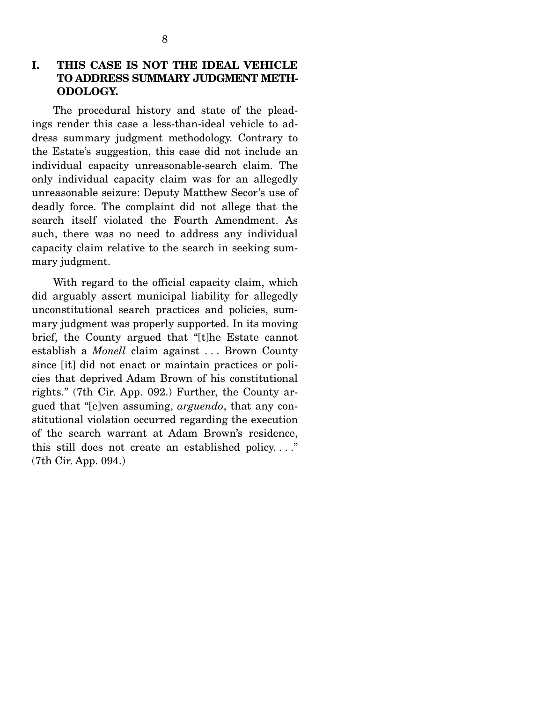## **I. THIS CASE IS NOT THE IDEAL VEHICLE TO ADDRESS SUMMARY JUDGMENT METH-ODOLOGY.**

 The procedural history and state of the pleadings render this case a less-than-ideal vehicle to address summary judgment methodology. Contrary to the Estate's suggestion, this case did not include an individual capacity unreasonable-search claim. The only individual capacity claim was for an allegedly unreasonable seizure: Deputy Matthew Secor's use of deadly force. The complaint did not allege that the search itself violated the Fourth Amendment. As such, there was no need to address any individual capacity claim relative to the search in seeking summary judgment.

 With regard to the official capacity claim, which did arguably assert municipal liability for allegedly unconstitutional search practices and policies, summary judgment was properly supported. In its moving brief, the County argued that "[t]he Estate cannot establish a *Monell* claim against . . . Brown County since [it] did not enact or maintain practices or policies that deprived Adam Brown of his constitutional rights." (7th Cir. App. 092.) Further, the County argued that "[e]ven assuming, *arguendo*, that any constitutional violation occurred regarding the execution of the search warrant at Adam Brown's residence, this still does not create an established policy. . . ." (7th Cir. App. 094.)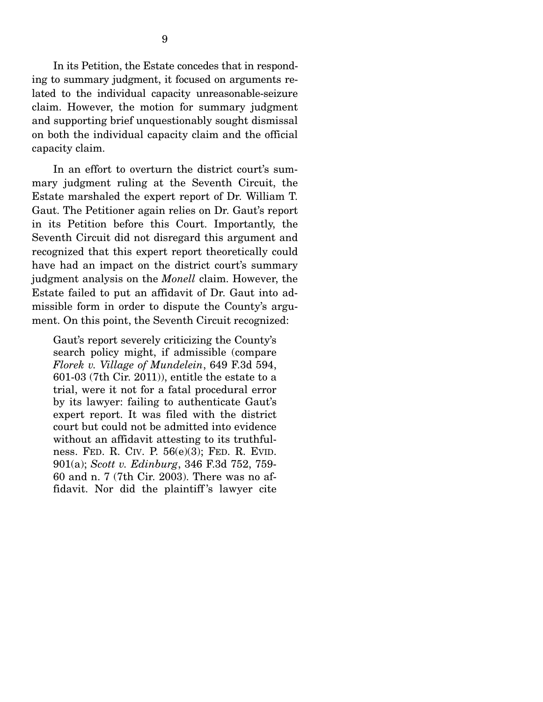In its Petition, the Estate concedes that in responding to summary judgment, it focused on arguments related to the individual capacity unreasonable-seizure claim. However, the motion for summary judgment and supporting brief unquestionably sought dismissal on both the individual capacity claim and the official capacity claim.

 In an effort to overturn the district court's summary judgment ruling at the Seventh Circuit, the Estate marshaled the expert report of Dr. William T. Gaut. The Petitioner again relies on Dr. Gaut's report in its Petition before this Court. Importantly, the Seventh Circuit did not disregard this argument and recognized that this expert report theoretically could have had an impact on the district court's summary judgment analysis on the *Monell* claim. However, the Estate failed to put an affidavit of Dr. Gaut into admissible form in order to dispute the County's argument. On this point, the Seventh Circuit recognized:

Gaut's report severely criticizing the County's search policy might, if admissible (compare *Florek v. Village of Mundelein*, 649 F.3d 594, 601-03 (7th Cir. 2011)), entitle the estate to a trial, were it not for a fatal procedural error by its lawyer: failing to authenticate Gaut's expert report. It was filed with the district court but could not be admitted into evidence without an affidavit attesting to its truthfulness. FED. R. CIV. P. 56(e)(3); FED. R. EVID. 901(a); *Scott v. Edinburg*, 346 F.3d 752, 759- 60 and n. 7 (7th Cir. 2003). There was no affidavit. Nor did the plaintiff 's lawyer cite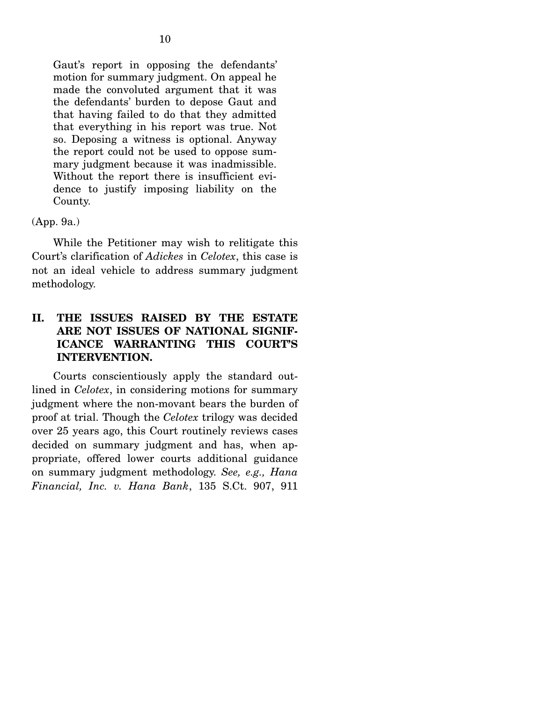Gaut's report in opposing the defendants' motion for summary judgment. On appeal he made the convoluted argument that it was the defendants' burden to depose Gaut and that having failed to do that they admitted that everything in his report was true. Not so. Deposing a witness is optional. Anyway the report could not be used to oppose summary judgment because it was inadmissible. Without the report there is insufficient evidence to justify imposing liability on the County.

#### (App. 9a.)

 While the Petitioner may wish to relitigate this Court's clarification of *Adickes* in *Celotex*, this case is not an ideal vehicle to address summary judgment methodology.

## **II. THE ISSUES RAISED BY THE ESTATE ARE NOT ISSUES OF NATIONAL SIGNIF-ICANCE WARRANTING THIS COURT'S INTERVENTION.**

 Courts conscientiously apply the standard outlined in *Celotex*, in considering motions for summary judgment where the non-movant bears the burden of proof at trial. Though the *Celotex* trilogy was decided over 25 years ago, this Court routinely reviews cases decided on summary judgment and has, when appropriate, offered lower courts additional guidance on summary judgment methodology. *See, e.g., Hana Financial, Inc. v. Hana Bank*, 135 S.Ct. 907, 911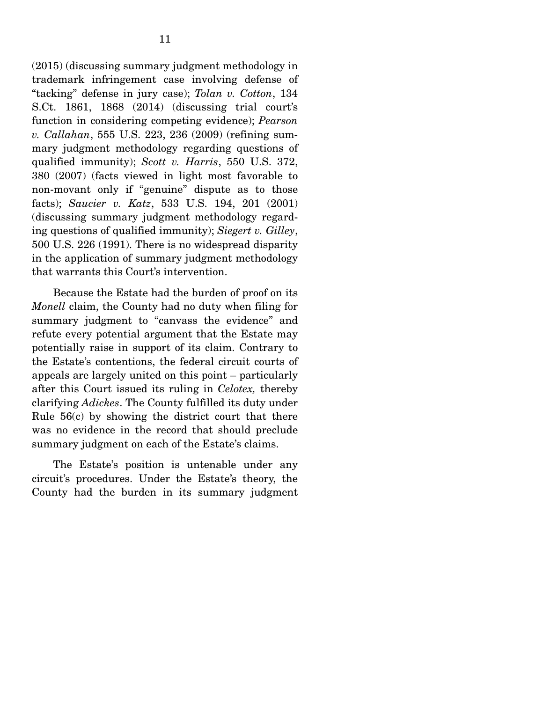(2015) (discussing summary judgment methodology in trademark infringement case involving defense of "tacking" defense in jury case); *Tolan v. Cotton*, 134 S.Ct. 1861, 1868 (2014) (discussing trial court's function in considering competing evidence); *Pearson v. Callahan*, 555 U.S. 223, 236 (2009) (refining summary judgment methodology regarding questions of qualified immunity); *Scott v. Harris*, 550 U.S. 372, 380 (2007) (facts viewed in light most favorable to non-movant only if "genuine" dispute as to those facts); *Saucier v. Katz*, 533 U.S. 194, 201 (2001) (discussing summary judgment methodology regarding questions of qualified immunity); *Siegert v. Gilley*, 500 U.S. 226 (1991). There is no widespread disparity in the application of summary judgment methodology that warrants this Court's intervention.

 Because the Estate had the burden of proof on its *Monell* claim, the County had no duty when filing for summary judgment to "canvass the evidence" and refute every potential argument that the Estate may potentially raise in support of its claim. Contrary to the Estate's contentions, the federal circuit courts of appeals are largely united on this point – particularly after this Court issued its ruling in *Celotex,* thereby clarifying *Adickes*. The County fulfilled its duty under Rule  $56(c)$  by showing the district court that there was no evidence in the record that should preclude summary judgment on each of the Estate's claims.

 The Estate's position is untenable under any circuit's procedures. Under the Estate's theory, the County had the burden in its summary judgment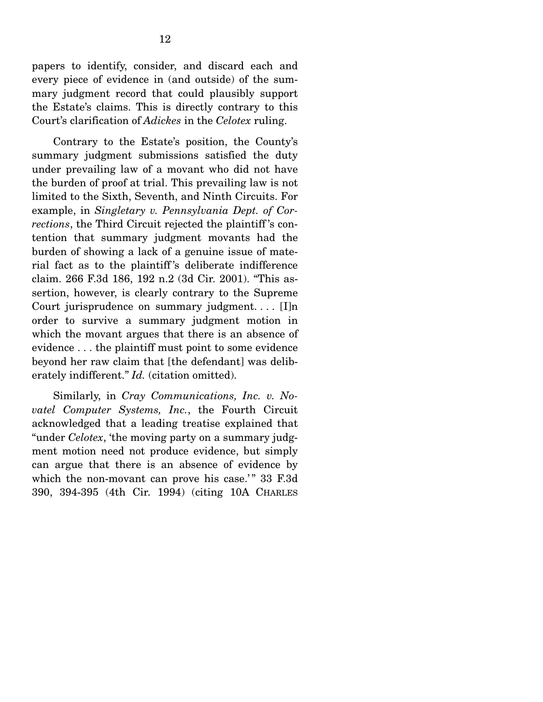papers to identify, consider, and discard each and every piece of evidence in (and outside) of the summary judgment record that could plausibly support the Estate's claims. This is directly contrary to this Court's clarification of *Adickes* in the *Celotex* ruling.

 Contrary to the Estate's position, the County's summary judgment submissions satisfied the duty under prevailing law of a movant who did not have the burden of proof at trial. This prevailing law is not limited to the Sixth, Seventh, and Ninth Circuits. For example, in *Singletary v. Pennsylvania Dept. of Corrections*, the Third Circuit rejected the plaintiff 's contention that summary judgment movants had the burden of showing a lack of a genuine issue of material fact as to the plaintiff 's deliberate indifference claim. 266 F.3d 186, 192 n.2 (3d Cir. 2001). "This assertion, however, is clearly contrary to the Supreme Court jurisprudence on summary judgment. . . . [I]n order to survive a summary judgment motion in which the movant argues that there is an absence of evidence . . . the plaintiff must point to some evidence beyond her raw claim that [the defendant] was deliberately indifferent." *Id.* (citation omitted).

 Similarly, in *Cray Communications, Inc. v. Novatel Computer Systems, Inc.*, the Fourth Circuit acknowledged that a leading treatise explained that "under *Celotex*, 'the moving party on a summary judgment motion need not produce evidence, but simply can argue that there is an absence of evidence by which the non-movant can prove his case.'" 33 F.3d 390, 394-395 (4th Cir. 1994) (citing 10A CHARLES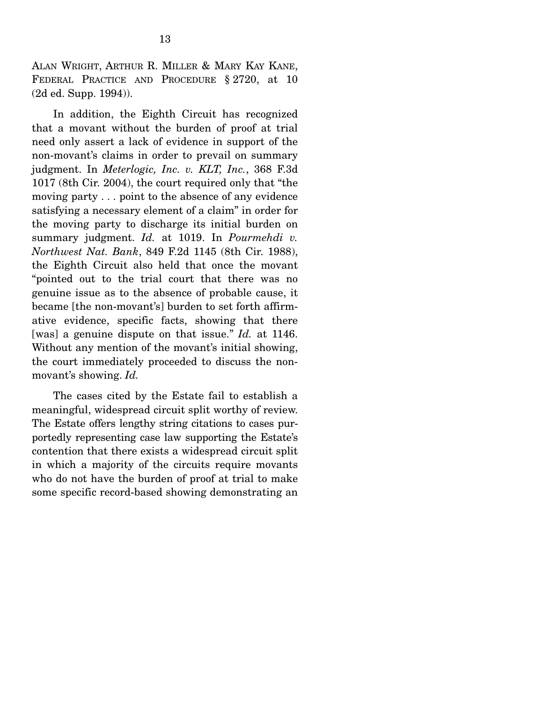ALAN WRIGHT, ARTHUR R. MILLER & MARY KAY KANE, FEDERAL PRACTICE AND PROCEDURE § 2720, at 10 (2d ed. Supp. 1994)).

 In addition, the Eighth Circuit has recognized that a movant without the burden of proof at trial need only assert a lack of evidence in support of the non-movant's claims in order to prevail on summary judgment. In *Meterlogic, Inc. v. KLT, Inc.*, 368 F.3d 1017 (8th Cir. 2004), the court required only that "the moving party . . . point to the absence of any evidence satisfying a necessary element of a claim" in order for the moving party to discharge its initial burden on summary judgment. *Id.* at 1019. In *Pourmehdi v. Northwest Nat. Bank*, 849 F.2d 1145 (8th Cir. 1988), the Eighth Circuit also held that once the movant "pointed out to the trial court that there was no genuine issue as to the absence of probable cause, it became [the non-movant's] burden to set forth affirmative evidence, specific facts, showing that there [was] a genuine dispute on that issue." *Id.* at 1146. Without any mention of the movant's initial showing, the court immediately proceeded to discuss the nonmovant's showing. *Id.*

 The cases cited by the Estate fail to establish a meaningful, widespread circuit split worthy of review. The Estate offers lengthy string citations to cases purportedly representing case law supporting the Estate's contention that there exists a widespread circuit split in which a majority of the circuits require movants who do not have the burden of proof at trial to make some specific record-based showing demonstrating an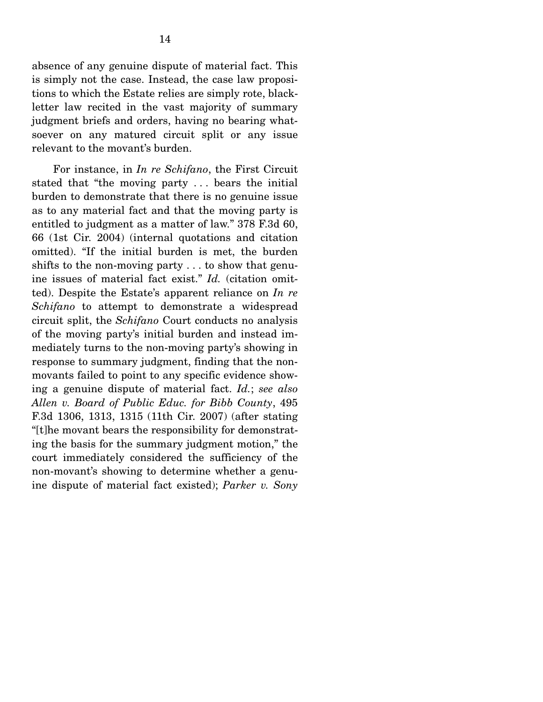absence of any genuine dispute of material fact. This is simply not the case. Instead, the case law propositions to which the Estate relies are simply rote, blackletter law recited in the vast majority of summary judgment briefs and orders, having no bearing whatsoever on any matured circuit split or any issue relevant to the movant's burden.

 For instance, in *In re Schifano*, the First Circuit stated that "the moving party . . . bears the initial burden to demonstrate that there is no genuine issue as to any material fact and that the moving party is entitled to judgment as a matter of law." 378 F.3d 60, 66 (1st Cir. 2004) (internal quotations and citation omitted). "If the initial burden is met, the burden shifts to the non-moving party . . . to show that genuine issues of material fact exist." *Id.* (citation omitted). Despite the Estate's apparent reliance on *In re Schifano* to attempt to demonstrate a widespread circuit split, the *Schifano* Court conducts no analysis of the moving party's initial burden and instead immediately turns to the non-moving party's showing in response to summary judgment, finding that the nonmovants failed to point to any specific evidence showing a genuine dispute of material fact. *Id.*; *see also Allen v. Board of Public Educ. for Bibb County*, 495 F.3d 1306, 1313, 1315 (11th Cir. 2007) (after stating "[t]he movant bears the responsibility for demonstrating the basis for the summary judgment motion," the court immediately considered the sufficiency of the non-movant's showing to determine whether a genuine dispute of material fact existed); *Parker v. Sony*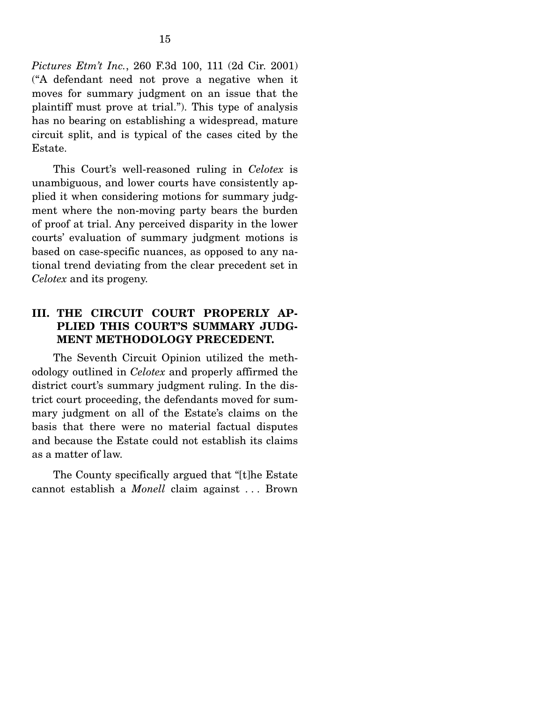*Pictures Etm't Inc.*, 260 F.3d 100, 111 (2d Cir. 2001) ("A defendant need not prove a negative when it moves for summary judgment on an issue that the plaintiff must prove at trial."). This type of analysis has no bearing on establishing a widespread, mature circuit split, and is typical of the cases cited by the Estate.

 This Court's well-reasoned ruling in *Celotex* is unambiguous, and lower courts have consistently applied it when considering motions for summary judgment where the non-moving party bears the burden of proof at trial. Any perceived disparity in the lower courts' evaluation of summary judgment motions is based on case-specific nuances, as opposed to any national trend deviating from the clear precedent set in *Celotex* and its progeny.

## **III. THE CIRCUIT COURT PROPERLY AP-PLIED THIS COURT'S SUMMARY JUDG-MENT METHODOLOGY PRECEDENT.**

 The Seventh Circuit Opinion utilized the methodology outlined in *Celotex* and properly affirmed the district court's summary judgment ruling. In the district court proceeding, the defendants moved for summary judgment on all of the Estate's claims on the basis that there were no material factual disputes and because the Estate could not establish its claims as a matter of law.

 The County specifically argued that "[t]he Estate cannot establish a *Monell* claim against . . . Brown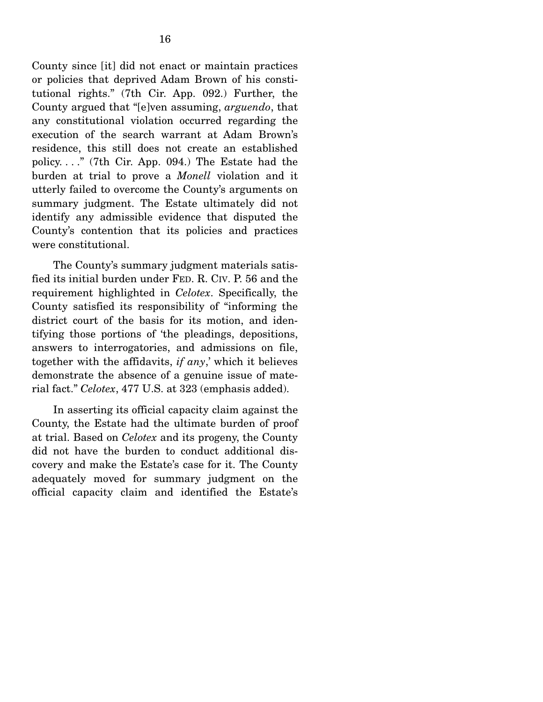County since [it] did not enact or maintain practices or policies that deprived Adam Brown of his constitutional rights." (7th Cir. App. 092.) Further, the County argued that "[e]ven assuming, *arguendo*, that any constitutional violation occurred regarding the execution of the search warrant at Adam Brown's residence, this still does not create an established policy...." (7th Cir. App. 094.) The Estate had the burden at trial to prove a *Monell* violation and it utterly failed to overcome the County's arguments on summary judgment. The Estate ultimately did not identify any admissible evidence that disputed the County's contention that its policies and practices were constitutional.

 The County's summary judgment materials satisfied its initial burden under FED. R. CIV. P. 56 and the requirement highlighted in *Celotex*. Specifically, the County satisfied its responsibility of "informing the district court of the basis for its motion, and identifying those portions of 'the pleadings, depositions, answers to interrogatories, and admissions on file, together with the affidavits, *if any*,' which it believes demonstrate the absence of a genuine issue of material fact." *Celotex*, 477 U.S. at 323 (emphasis added).

 In asserting its official capacity claim against the County, the Estate had the ultimate burden of proof at trial. Based on *Celotex* and its progeny, the County did not have the burden to conduct additional discovery and make the Estate's case for it. The County adequately moved for summary judgment on the official capacity claim and identified the Estate's